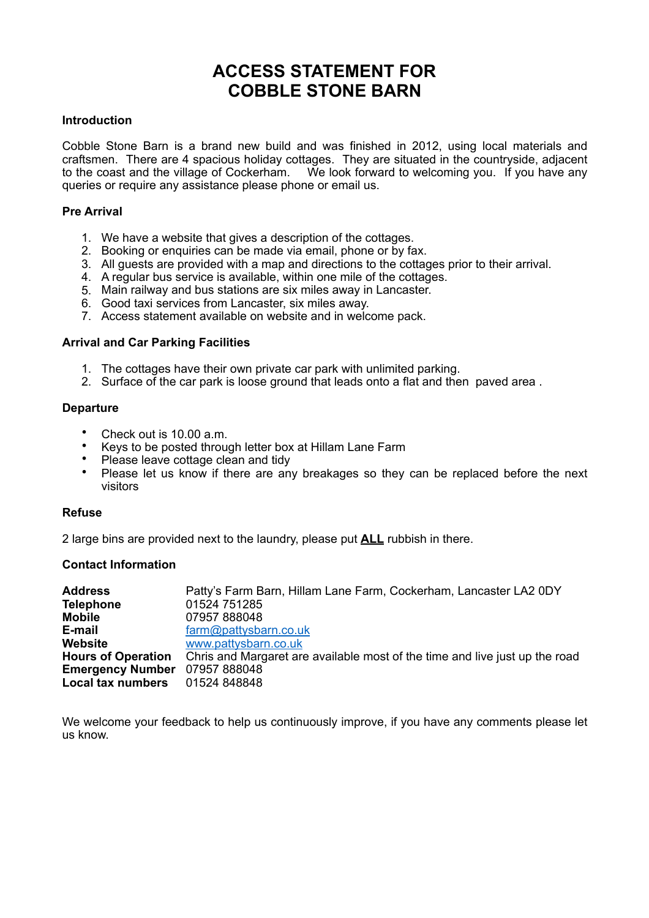## **ACCESS STATEMENT FOR COBBLE STONE BARN**

#### **Introduction**

Cobble Stone Barn is a brand new build and was finished in 2012, using local materials and craftsmen. There are 4 spacious holiday cottages. They are situated in the countryside, adjacent to the coast and the village of Cockerham. We look forward to welcoming you. If you have any queries or require any assistance please phone or email us.

## **Pre Arrival**

- 1. We have a website that gives a description of the cottages.
- 2. Booking or enquiries can be made via email, phone or by fax.
- 3. All guests are provided with a map and directions to the cottages prior to their arrival.
- 4. A regular bus service is available, within one mile of the cottages.
- 5. Main railway and bus stations are six miles away in Lancaster.
- 6. Good taxi services from Lancaster, six miles away.
- 7. Access statement available on website and in welcome pack.

#### **Arrival and Car Parking Facilities**

- 1. The cottages have their own private car park with unlimited parking.
- 2. Surface of the car park is loose ground that leads onto a flat and then paved area .

#### **Departure**

- Check out is 10.00 a.m.
- Keys to be posted through letter box at Hillam Lane Farm
- Please leave cottage clean and tidy
- Please let us know if there are any breakages so they can be replaced before the next visitors

#### **Refuse**

2 large bins are provided next to the laundry, please put **ALL** rubbish in there.

## **Contact Information**

| <b>Address</b>            | Patty's Farm Barn, Hillam Lane Farm, Cockerham, Lancaster LA2 0DY           |
|---------------------------|-----------------------------------------------------------------------------|
| <b>Telephone</b>          | 01524 751285                                                                |
| <b>Mobile</b>             | 07957888048                                                                 |
| E-mail                    | farm@pattysbarn.co.uk                                                       |
| <b>Website</b>            | www.pattysbarn.co.uk                                                        |
| <b>Hours of Operation</b> | Chris and Margaret are available most of the time and live just up the road |
| <b>Emergency Number</b>   | 07957888048                                                                 |
| Local tax numbers         | 01524 848848                                                                |

We welcome your feedback to help us continuously improve, if you have any comments please let us know.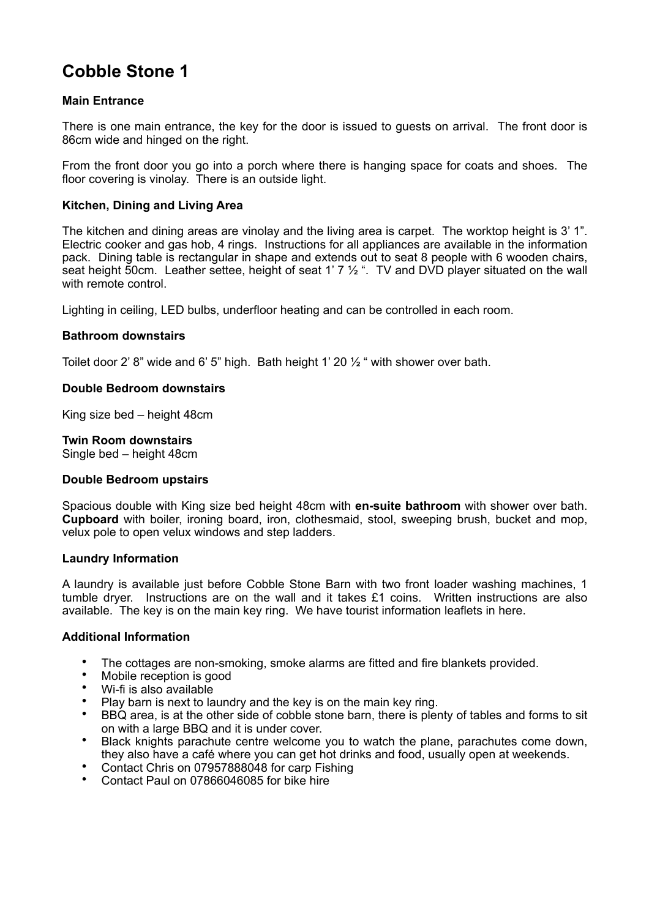# **Cobble Stone 1**

## **Main Entrance**

There is one main entrance, the key for the door is issued to guests on arrival. The front door is 86cm wide and hinged on the right.

From the front door you go into a porch where there is hanging space for coats and shoes. The floor covering is vinolay. There is an outside light.

## **Kitchen, Dining and Living Area**

The kitchen and dining areas are vinolay and the living area is carpet. The worktop height is 3' 1". Electric cooker and gas hob, 4 rings. Instructions for all appliances are available in the information pack. Dining table is rectangular in shape and extends out to seat 8 people with 6 wooden chairs, seat height 50cm. Leather settee, height of seat 1'  $7\frac{1}{2}$ ". TV and DVD player situated on the wall with remote control.

Lighting in ceiling, LED bulbs, underfloor heating and can be controlled in each room.

#### **Bathroom downstairs**

Toilet door 2' 8" wide and 6' 5" high. Bath height 1' 20  $\frac{1}{2}$ " with shower over bath.

#### **Double Bedroom downstairs**

King size bed – height 48cm

## **Twin Room downstairs**

Single bed – height 48cm

## **Double Bedroom upstairs**

Spacious double with King size bed height 48cm with **en-suite bathroom** with shower over bath. **Cupboard** with boiler, ironing board, iron, clothesmaid, stool, sweeping brush, bucket and mop, velux pole to open velux windows and step ladders.

## **Laundry Information**

A laundry is available just before Cobble Stone Barn with two front loader washing machines, 1 tumble dryer. Instructions are on the wall and it takes £1 coins. Written instructions are also available. The key is on the main key ring. We have tourist information leaflets in here.

- The cottages are non-smoking, smoke alarms are fitted and fire blankets provided.
- Mobile reception is good
- Wi-fi is also available
- Play barn is next to laundry and the key is on the main key ring.
- BBQ area, is at the other side of cobble stone barn, there is plenty of tables and forms to sit on with a large BBQ and it is under cover.
- Black knights parachute centre welcome you to watch the plane, parachutes come down, they also have a café where you can get hot drinks and food, usually open at weekends.
- Contact Chris on 07957888048 for carp Fishing
- Contact Paul on 07866046085 for bike hire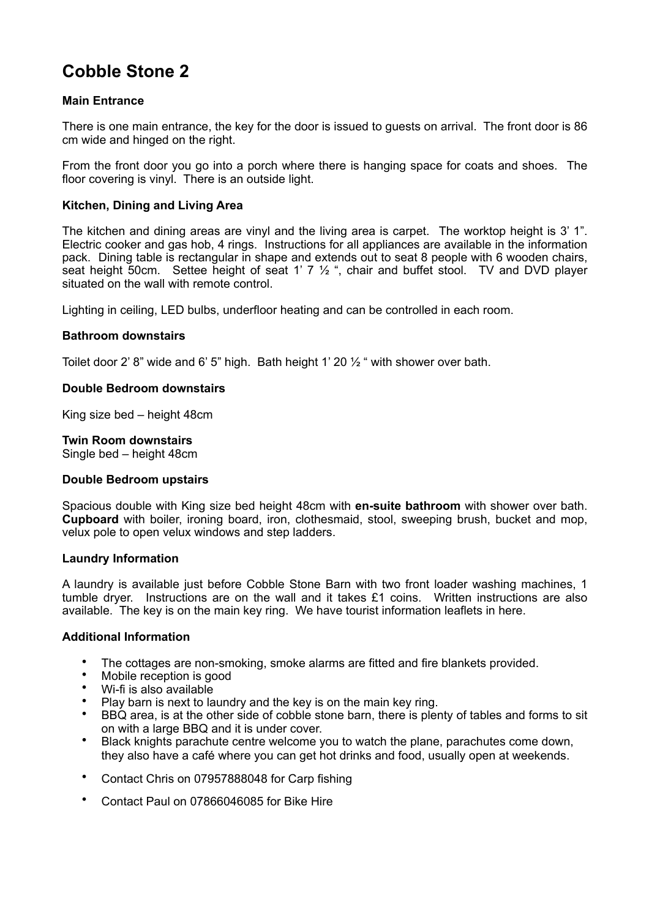# **Cobble Stone 2**

## **Main Entrance**

There is one main entrance, the key for the door is issued to guests on arrival. The front door is 86 cm wide and hinged on the right.

From the front door you go into a porch where there is hanging space for coats and shoes. The floor covering is vinyl. There is an outside light.

## **Kitchen, Dining and Living Area**

The kitchen and dining areas are vinyl and the living area is carpet. The worktop height is 3' 1". Electric cooker and gas hob, 4 rings. Instructions for all appliances are available in the information pack. Dining table is rectangular in shape and extends out to seat 8 people with 6 wooden chairs, seat height 50cm. Settee height of seat 1'  $7\frac{1}{2}$ ", chair and buffet stool. TV and DVD player situated on the wall with remote control.

Lighting in ceiling, LED bulbs, underfloor heating and can be controlled in each room.

#### **Bathroom downstairs**

Toilet door 2' 8" wide and 6' 5" high. Bath height 1' 20  $\frac{1}{2}$ " with shower over bath.

#### **Double Bedroom downstairs**

King size bed – height 48cm

## **Twin Room downstairs**

Single bed – height 48cm

#### **Double Bedroom upstairs**

Spacious double with King size bed height 48cm with **en-suite bathroom** with shower over bath. **Cupboard** with boiler, ironing board, iron, clothesmaid, stool, sweeping brush, bucket and mop, velux pole to open velux windows and step ladders.

## **Laundry Information**

A laundry is available just before Cobble Stone Barn with two front loader washing machines, 1 tumble dryer. Instructions are on the wall and it takes £1 coins. Written instructions are also available. The key is on the main key ring. We have tourist information leaflets in here.

- The cottages are non-smoking, smoke alarms are fitted and fire blankets provided.
- Mobile reception is good
- Wi-fi is also available
- Play barn is next to laundry and the key is on the main key ring.
- BBQ area, is at the other side of cobble stone barn, there is plenty of tables and forms to sit on with a large BBQ and it is under cover.
- Black knights parachute centre welcome you to watch the plane, parachutes come down, they also have a café where you can get hot drinks and food, usually open at weekends.
- Contact Chris on 07957888048 for Carp fishing
- Contact Paul on 07866046085 for Bike Hire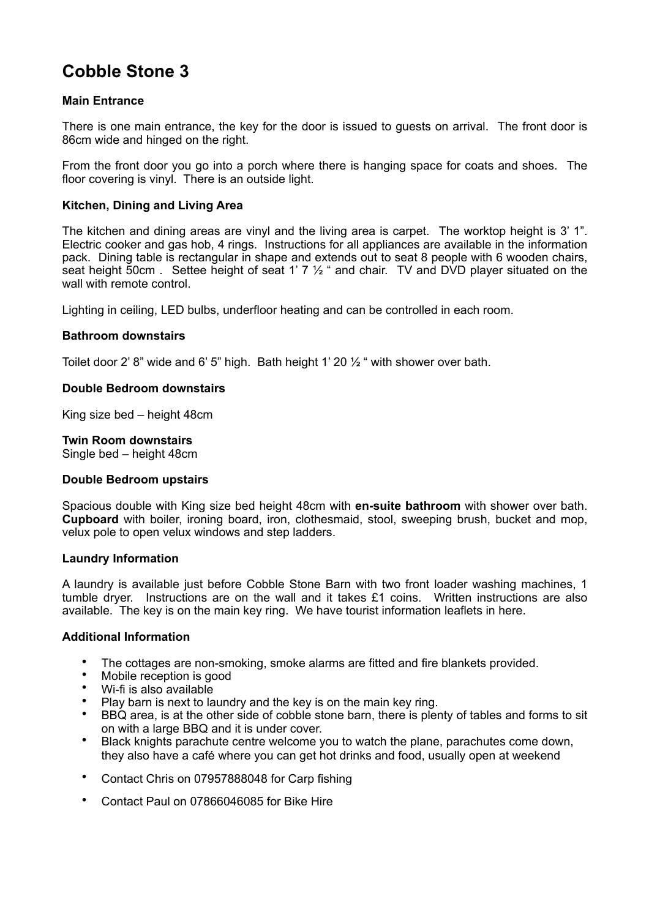# **Cobble Stone 3**

## **Main Entrance**

There is one main entrance, the key for the door is issued to guests on arrival. The front door is 86cm wide and hinged on the right.

From the front door you go into a porch where there is hanging space for coats and shoes. The floor covering is vinyl. There is an outside light.

## **Kitchen, Dining and Living Area**

The kitchen and dining areas are vinyl and the living area is carpet. The worktop height is 3' 1". Electric cooker and gas hob, 4 rings. Instructions for all appliances are available in the information pack. Dining table is rectangular in shape and extends out to seat 8 people with 6 wooden chairs, seat height 50cm . Settee height of seat 1' 7  $\frac{1}{2}$  " and chair. TV and DVD player situated on the wall with remote control.

Lighting in ceiling, LED bulbs, underfloor heating and can be controlled in each room.

#### **Bathroom downstairs**

Toilet door 2' 8" wide and 6' 5" high. Bath height 1' 20  $\frac{1}{2}$ " with shower over bath.

#### **Double Bedroom downstairs**

King size bed – height 48cm

## **Twin Room downstairs**

Single bed – height 48cm

#### **Double Bedroom upstairs**

Spacious double with King size bed height 48cm with **en-suite bathroom** with shower over bath. **Cupboard** with boiler, ironing board, iron, clothesmaid, stool, sweeping brush, bucket and mop, velux pole to open velux windows and step ladders.

## **Laundry Information**

A laundry is available just before Cobble Stone Barn with two front loader washing machines, 1 tumble dryer. Instructions are on the wall and it takes £1 coins. Written instructions are also available. The key is on the main key ring. We have tourist information leaflets in here.

- The cottages are non-smoking, smoke alarms are fitted and fire blankets provided.
- Mobile reception is good
- Wi-fi is also available
- Play barn is next to laundry and the key is on the main key ring.
- BBQ area, is at the other side of cobble stone barn, there is plenty of tables and forms to sit on with a large BBQ and it is under cover.
- Black knights parachute centre welcome you to watch the plane, parachutes come down, they also have a café where you can get hot drinks and food, usually open at weekend
- Contact Chris on 07957888048 for Carp fishing
- Contact Paul on 07866046085 for Bike Hire